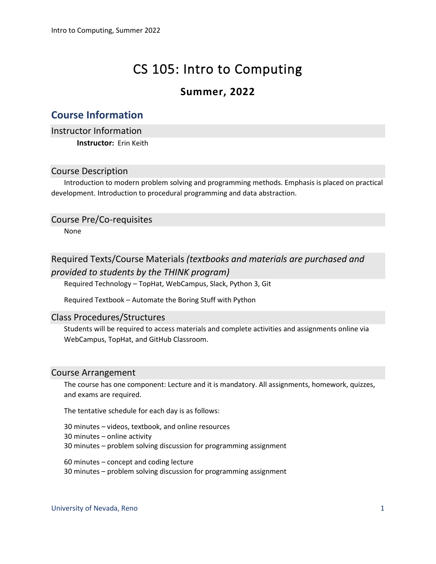# CS 105: Intro to Computing

# **Summer, 2022**

# **Course Information**

Instructor Information **Instructor:** Erin Keith

# Course Description

Introduction to modern problem solving and programming methods. Emphasis is placed on practical development. Introduction to procedural programming and data abstraction.

# Course Pre/Co-requisites

None

# Required Texts/Course Materials *(textbooks and materials are purchased and*

# *provided to students by the THINK program)*

Required Technology – TopHat, WebCampus, Slack, Python 3, Git

Required Textbook – Automate the Boring Stuff with Python

# Class Procedures/Structures

Students will be required to access materials and complete activities and assignments online via WebCampus, TopHat, and GitHub Classroom.

# Course Arrangement

The course has one component: Lecture and it is mandatory. All assignments, homework, quizzes, and exams are required.

The tentative schedule for each day is as follows:

30 minutes – videos, textbook, and online resources

30 minutes – online activity

30 minutes – problem solving discussion for programming assignment

60 minutes – concept and coding lecture

30 minutes – problem solving discussion for programming assignment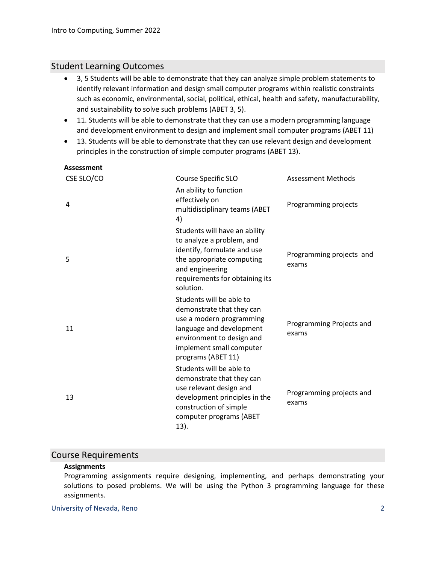# Student Learning Outcomes

- 3, 5 Students will be able to demonstrate that they can analyze simple problem statements to identify relevant information and design small computer programs within realistic constraints such as economic, environmental, social, political, ethical, health and safety, manufacturability, and sustainability to solve such problems (ABET 3, 5).
- 11. Students will be able to demonstrate that they can use a modern programming language and development environment to design and implement small computer programs (ABET 11)
- 13. Students will be able to demonstrate that they can use relevant design and development principles in the construction of simple computer programs (ABET 13).

#### **Assessment**

| CSE SLO/CO | <b>Course Specific SLO</b>                                                                                                                                                                   | <b>Assessment Methods</b>         |
|------------|----------------------------------------------------------------------------------------------------------------------------------------------------------------------------------------------|-----------------------------------|
| 4          | An ability to function<br>effectively on<br>multidisciplinary teams (ABET<br>4)                                                                                                              | Programming projects              |
| 5          | Students will have an ability<br>to analyze a problem, and<br>identify, formulate and use<br>the appropriate computing<br>and engineering<br>requirements for obtaining its<br>solution.     | Programming projects and<br>exams |
| 11         | Students will be able to<br>demonstrate that they can<br>use a modern programming<br>language and development<br>environment to design and<br>implement small computer<br>programs (ABET 11) | Programming Projects and<br>exams |
| 13         | Students will be able to<br>demonstrate that they can<br>use relevant design and<br>development principles in the<br>construction of simple<br>computer programs (ABET<br>13).               | Programming projects and<br>exams |

# Course Requirements

#### **Assignments**

Programming assignments require designing, implementing, and perhaps demonstrating your solutions to posed problems. We will be using the Python 3 programming language for these assignments.

#### University of Nevada, Reno 2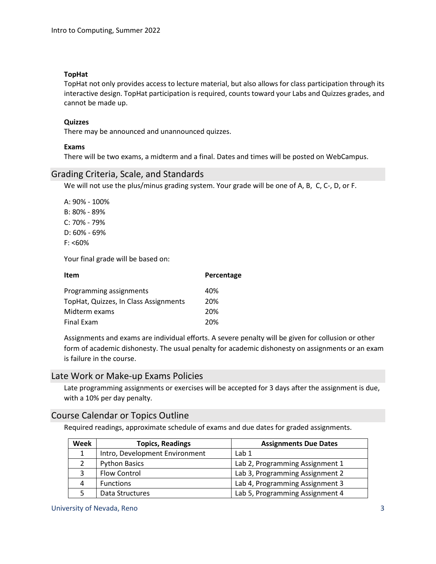#### **TopHat**

TopHat not only provides access to lecture material, but also allows for class participation through its interactive design. TopHat participation is required, counts toward your Labs and Quizzes grades, and cannot be made up.

#### **Quizzes**

There may be announced and unannounced quizzes.

#### **Exams**

There will be two exams, a midterm and a final. Dates and times will be posted on WebCampus.

# Grading Criteria, Scale, and Standards

We will not use the plus/minus grading system. Your grade will be one of A, B, C, C-, D, or F.

A: 90% - 100% B: 80% - 89% C: 70% - 79% D: 60% - 69% F: <60%

Your final grade will be based on:

| Item                                  | Percentage |
|---------------------------------------|------------|
| Programming assignments               | 40%        |
| TopHat, Quizzes, In Class Assignments | 20%        |
| Midterm exams                         | 20%        |
| <b>Final Exam</b>                     | 20%        |

Assignments and exams are individual efforts. A severe penalty will be given for collusion or other form of academic dishonesty. The usual penalty for academic dishonesty on assignments or an exam is failure in the course.

#### Late Work or Make-up Exams Policies

Late programming assignments or exercises will be accepted for 3 days after the assignment is due, with a 10% per day penalty.

#### Course Calendar or Topics Outline

Required readings, approximate schedule of exams and due dates for graded assignments.

| Week | <b>Topics, Readings</b>        | <b>Assignments Due Dates</b>    |
|------|--------------------------------|---------------------------------|
| 1    | Intro, Development Environment | Lab 1                           |
|      | <b>Python Basics</b>           | Lab 2, Programming Assignment 1 |
|      | Flow Control                   | Lab 3, Programming Assignment 2 |
| 4    | <b>Functions</b>               | Lab 4, Programming Assignment 3 |
|      | Data Structures                | Lab 5, Programming Assignment 4 |

University of Nevada, Reno 33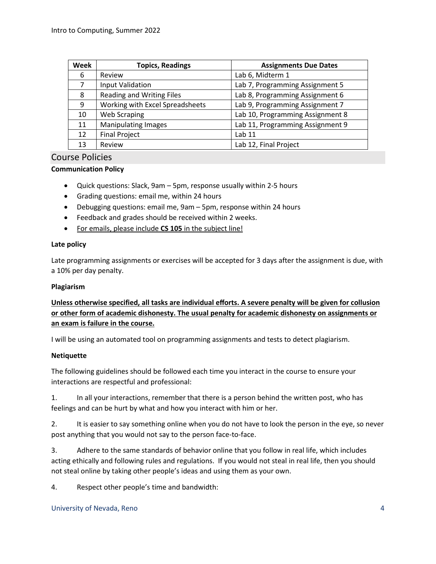| <b>Week</b> | <b>Topics, Readings</b>         | <b>Assignments Due Dates</b>     |
|-------------|---------------------------------|----------------------------------|
| 6           | Review                          | Lab 6, Midterm 1                 |
| 7           | <b>Input Validation</b>         | Lab 7, Programming Assignment 5  |
| 8           | Reading and Writing Files       | Lab 8, Programming Assignment 6  |
| 9           | Working with Excel Spreadsheets | Lab 9, Programming Assignment 7  |
| 10          | <b>Web Scraping</b>             | Lab 10, Programming Assignment 8 |
| 11          | <b>Manipulating Images</b>      | Lab 11, Programming Assignment 9 |
| 12          | <b>Final Project</b>            | Lab 11                           |
| 13          | Review                          | Lab 12, Final Project            |

# Course Policies

#### **Communication Policy**

- Quick questions: Slack, 9am 5pm, response usually within 2-5 hours
- Grading questions: email me, within 24 hours
- Debugging questions: email me, 9am 5pm, response within 24 hours
- Feedback and grades should be received within 2 weeks.
- For emails, please include **CS 105** in the subject line!

#### **Late policy**

Late programming assignments or exercises will be accepted for 3 days after the assignment is due, with a 10% per day penalty.

#### **Plagiarism**

# **Unless otherwise specified, all tasks are individual efforts. A severe penalty will be given for collusion or other form of academic dishonesty. The usual penalty for academic dishonesty on assignments or an exam is failure in the course.**

I will be using an automated tool on programming assignments and tests to detect plagiarism.

#### **Netiquette**

The following guidelines should be followed each time you interact in the course to ensure your interactions are respectful and professional:

1. In all your interactions, remember that there is a person behind the written post, who has feelings and can be hurt by what and how you interact with him or her.

2. It is easier to say something online when you do not have to look the person in the eye, so never post anything that you would not say to the person face-to-face.

3. Adhere to the same standards of behavior online that you follow in real life, which includes acting ethically and following rules and regulations. If you would not steal in real life, then you should not steal online by taking other people's ideas and using them as your own.

4. Respect other people's time and bandwidth: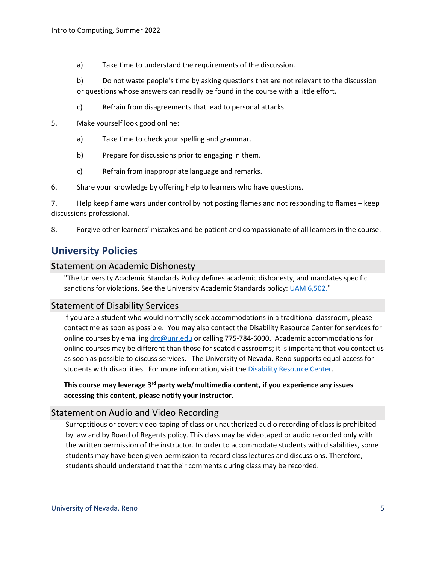- a) Take time to understand the requirements of the discussion.
- b) Do not waste people's time by asking questions that are not relevant to the discussion or questions whose answers can readily be found in the course with a little effort.
- c) Refrain from disagreements that lead to personal attacks.
- 5. Make yourself look good online:
	- a) Take time to check your spelling and grammar.
	- b) Prepare for discussions prior to engaging in them.
	- c) Refrain from inappropriate language and remarks.
- 6. Share your knowledge by offering help to learners who have questions.

7. Help keep flame wars under control by not posting flames and not responding to flames – keep discussions professional.

8. Forgive other learners' mistakes and be patient and compassionate of all learners in the course.

# **University Policies**

#### Statement on Academic Dishonesty

"The University Academic Standards Policy defines academic dishonesty, and mandates specific sanctions for violations. See the University Academic Standards policy: [UAM 6,502."](https://www.unr.edu/administrative-manual/6000-6999-curricula-teaching-research/instruction-research-procedures/6502-academic-standards)

# Statement of Disability Services

If you are a student who would normally seek accommodations in a traditional classroom, please contact me as soon as possible. You may also contact the Disability Resource Center for services for online courses by emailing [drc@unr.edu](mailto:drc@unr.edu) or calling 775-784-6000. Academic accommodations for online courses may be different than those for seated classrooms; it is important that you contact us as soon as possible to discuss services. The University of Nevada, Reno supports equal access for students with disabilities. For more information, visit the [Disability Resource Center.](http://www.unr.edu/drc)

**This course may leverage 3rd party web/multimedia content, if you experience any issues accessing this content, please notify your instructor.**

# Statement on Audio and Video Recording

Surreptitious or covert video-taping of class or unauthorized audio recording of class is prohibited by law and by Board of Regents policy. This class may be videotaped or audio recorded only with the written permission of the instructor. In order to accommodate students with disabilities, some students may have been given permission to record class lectures and discussions. Therefore, students should understand that their comments during class may be recorded.